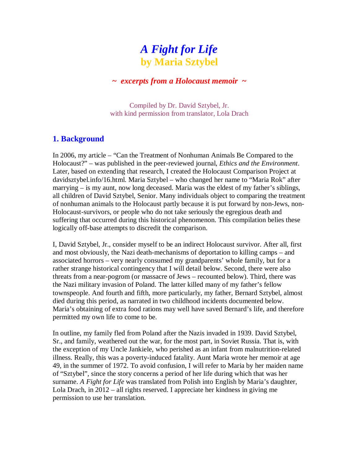# *A Fight for Life* **by Maria Sztybel**

# **~** *excerpts from a Holocaust memoir* **~**

Compiled by Dr. David Sztybel, Jr. with kind permission from translator, Lola Drach

# **1. Background**

In 2006, my article – "Can the Treatment of Nonhuman Animals Be Compared to the Holocaust?" – was published in the peer-reviewed journal, *Ethics and the Environment*. Later, based on extending that research, I created the Holocaust Comparison Project at davidsztybel.info/16.html. Maria Sztybel – who changed her name to "Maria Rok" after marrying – is my aunt, now long deceased. Maria was the eldest of my father's siblings, all children of David Sztybel, Senior. Many individuals object to comparing the treatment of nonhuman animals to the Holocaust partly because it is put forward by non-Jews, non-Holocaust-survivors, or people who do not take seriously the egregious death and suffering that occurred during this historical phenomenon. This compilation belies these logically off-base attempts to discredit the comparison.

I, David Sztybel, Jr., consider myself to be an indirect Holocaust survivor. After all, first and most obviously, the Nazi death-mechanisms of deportation to killing camps – and associated horrors – very nearly consumed my grandparents' whole family, but for a rather strange historical contingency that I will detail below. Second, there were also threats from a near-pogrom (or massacre of Jews – recounted below). Third, there was the Nazi military invasion of Poland. The latter killed many of my father's fellow townspeople. And fourth and fifth, more particularly, my father, Bernard Sztybel, almost died during this period, as narrated in two childhood incidents documented below. Maria's obtaining of extra food rations may well have saved Bernard's life, and therefore permitted my own life to come to be.

In outline, my family fled from Poland after the Nazis invaded in 1939. David Sztybel, Sr., and family, weathered out the war, for the most part, in Soviet Russia. That is, with the exception of my Uncle Jankiele, who perished as an infant from malnutrition-related illness. Really, this was a poverty-induced fatality. Aunt Maria wrote her memoir at age 49, in the summer of 1972. To avoid confusion, I will refer to Maria by her maiden name of "Sztybel", since the story concerns a period of her life during which that was her surname. *A Fight for Life* was translated from Polish into English by Maria's daughter, Lola Drach, in 2012 – all rights reserved. I appreciate her kindness in giving me permission to use her translation.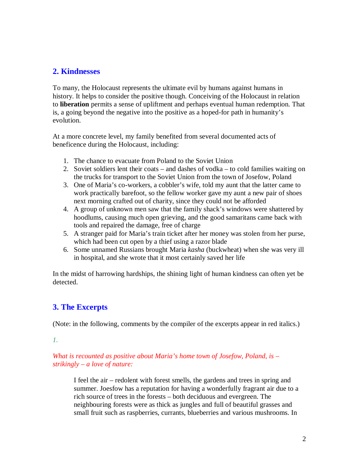# **2. Kindnesses**

To many, the Holocaust represents the ultimate evil by humans against humans in history. It helps to consider the positive though. Conceiving of the Holocaust in relation to **liberation** permits a sense of upliftment and perhaps eventual human redemption. That is, a going beyond the negative into the positive as a hoped-for path in humanity's evolution.

At a more concrete level, my family benefited from several documented acts of beneficence during the Holocaust, including:

- 1. The chance to evacuate from Poland to the Soviet Union
- 2. Soviet soldiers lent their coats and dashes of vodka to cold families waiting on the trucks for transport to the Soviet Union from the town of Josefow, Poland
- 3. One of Maria's co-workers, a cobbler's wife, told my aunt that the latter came to work practically barefoot, so the fellow worker gave my aunt a new pair of shoes next morning crafted out of charity, since they could not be afforded
- 4. A group of unknown men saw that the family shack's windows were shattered by hoodlums, causing much open grieving, and the good samaritans came back with tools and repaired the damage, free of charge
- 5. A stranger paid for Maria's train ticket after her money was stolen from her purse, which had been cut open by a thief using a razor blade
- 6. Some unnamed Russians brought Maria *kasha* (buckwheat) when she was very ill in hospital, and she wrote that it most certainly saved her life

In the midst of harrowing hardships, the shining light of human kindness can often yet be detected.

# **3. The Excerpts**

(Note: in the following, comments by the compiler of the excerpts appear in red italics.)

# *1.*

*What is recounted as positive about Maria's home town of Josefow, Poland, is – strikingly – a love of nature:*

I feel the air – redolent with forest smells, the gardens and trees in spring and summer. Joesfow has a reputation for having a wonderfully fragrant air due to a rich source of trees in the forests – both deciduous and evergreen. The neighbouring forests were as thick as jungles and full of beautiful grasses and small fruit such as raspberries, currants, blueberries and various mushrooms. In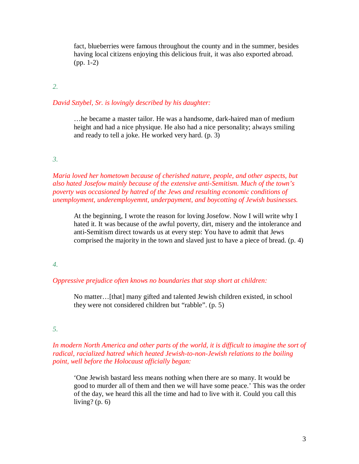fact, blueberries were famous throughout the county and in the summer, besides having local citizens enjoying this delicious fruit, it was also exported abroad. (pp. 1-2)

# *2.*

#### *David Sztybel, Sr. is lovingly described by his daughter:*

…he became a master tailor. He was a handsome, dark-haired man of medium height and had a nice physique. He also had a nice personality; always smiling and ready to tell a joke. He worked very hard. (p. 3)

#### *3.*

*Maria loved her hometown because of cherished nature, people, and other aspects, but also hated Josefow mainly because of the extensive anti-Semitism. Much of the town's poverty was occasioned by hatred of the Jews and resulting economic conditions of unemployment, underemployemnt, underpayment, and boycotting of Jewish businesses.*

At the beginning, I wrote the reason for loving Josefow. Now I will write why I hated it. It was because of the awful poverty, dirt, misery and the intolerance and anti-Semitism direct towards us at every step: You have to admit that Jews comprised the majority in the town and slaved just to have a piece of bread. (p. 4)

#### *4.*

#### *Oppressive prejudice often knows no boundaries that stop short at children:*

No matter…[that] many gifted and talented Jewish children existed, in school they were not considered children but "rabble". (p. 5)

# *5.*

# In modern North America and other parts of the world, it is difficult to imagine the sort of *radical, racialized hatred which heated Jewish-to-non-Jewish relations to the boiling point, well before the Holocaust officially began:*

'One Jewish bastard less means nothing when there are so many. It would be good to murder all of them and then we will have some peace.' This was the order of the day, we heard this all the time and had to live with it. Could you call this living?  $(p, 6)$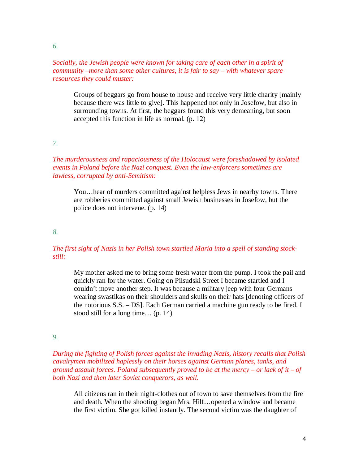*6.* 

# *Socially, the Jewish people were known for taking care of each other in a spirit of community –more than some other cultures, it is fair to say – with whatever spare resources they could muster:*

Groups of beggars go from house to house and receive very little charity [mainly because there was little to give]. This happened not only in Josefow, but also in surrounding towns. At first, the beggars found this very demeaning, but soon accepted this function in life as normal. (p. 12)

#### *7.*

# *The murderousness and rapaciousness of the Holocaust were foreshadowed by isolated events in Poland before the Nazi conquest. Even the law-enforcers sometimes are lawless, corrupted by anti-Semitism:*

You…hear of murders committed against helpless Jews in nearby towns. There are robberies committed against small Jewish businesses in Josefow, but the police does not intervene. (p. 14)

*8.* 

# *The first sight of Nazis in her Polish town startled Maria into a spell of standing stockstill:*

My mother asked me to bring some fresh water from the pump. I took the pail and quickly ran for the water. Going on Pilsudski Street I became startled and I couldn't move another step. It was because a military jeep with four Germans wearing swastikas on their shoulders and skulls on their hats [denoting officers of the notorious S.S. – DS]. Each German carried a machine gun ready to be fired. I stood still for a long time… (p. 14)

#### *9.*

# *During the fighting of Polish forces against the invading Nazis, history recalls that Polish cavalrymen mobilized haplessly on their horses against German planes, tanks, and ground assault forces. Poland subsequently proved to be at the mercy – or lack of it – of both Nazi and then later Soviet conquerors, as well.*

All citizens ran in their night-clothes out of town to save themselves from the fire and death. When the shooting began Mrs. Hilf…opened a window and became the first victim. She got killed instantly. The second victim was the daughter of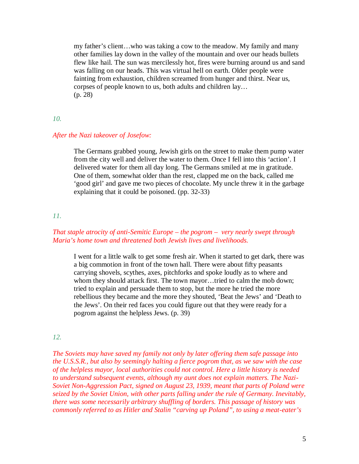my father's client…who was taking a cow to the meadow. My family and many other families lay down in the valley of the mountain and over our heads bullets flew like hail. The sun was mercilessly hot, fires were burning around us and sand was falling on our heads. This was virtual hell on earth. Older people were fainting from exhaustion, children screamed from hunger and thirst. Near us, corpses of people known to us, both adults and children lay… (p. 28)

#### *10.*

#### *After the Nazi takeover of Josefow:*

The Germans grabbed young, Jewish girls on the street to make them pump water from the city well and deliver the water to them. Once I fell into this 'action'. I delivered water for them all day long. The Germans smiled at me in gratitude. One of them, somewhat older than the rest, clapped me on the back, called me 'good girl' and gave me two pieces of chocolate. My uncle threw it in the garbage explaining that it could be poisoned. (pp. 32-33)

# *11.*

# *That staple atrocity of anti-Semitic Europe – the pogrom – very nearly swept through Maria's home town and threatened both Jewish lives and livelihoods.*

I went for a little walk to get some fresh air. When it started to get dark, there was a big commotion in front of the town hall. There were about fifty peasants carrying shovels, scythes, axes, pitchforks and spoke loudly as to where and whom they should attack first. The town mayor…tried to calm the mob down; tried to explain and persuade them to stop, but the more he tried the more rebellious they became and the more they shouted, 'Beat the Jews' and 'Death to the Jews'. On their red faces you could figure out that they were ready for a pogrom against the helpless Jews. (p. 39)

#### *12.*

*The Soviets may have saved my family not only by later offering them safe passage into the U.S.S.R., but also by seemingly halting a fierce pogrom that, as we saw with the case of the helpless mayor, local authorities could not control. Here a little history is needed to understand subsequent events, although my aunt does not explain matters. The Nazi-Soviet Non-Aggression Pact, signed on August 23, 1939, meant that parts of Poland were seized by the Soviet Union, with other parts falling under the rule of Germany. Inevitably, there was some necessarily arbitrary shuffling of borders. This passage of history was commonly referred to as Hitler and Stalin "carving up Poland", to using a meat-eater's*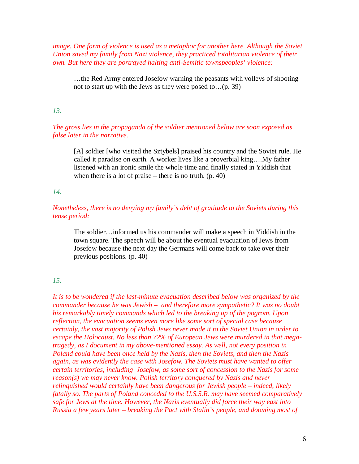*image. One form of violence is used as a metaphor for another here. Although the Soviet Union saved my family from Nazi violence, they practiced totalitarian violence of their own. But here they are portrayed halting anti-Semitic townspeoples' violence:*

…the Red Army entered Josefow warning the peasants with volleys of shooting not to start up with the Jews as they were posed to…(p. 39)

# *13.*

*The gross lies in the propaganda of the soldier mentioned below are soon exposed as false later in the narrative.*

[A] soldier [who visited the Sztybels] praised his country and the Soviet rule. He called it paradise on earth. A worker lives like a proverbial king….My father listened with an ironic smile the whole time and finally stated in Yiddish that when there is a lot of praise – there is no truth.  $(p. 40)$ 

#### *14.*

*Nonetheless, there is no denying my family's debt of gratitude to the Soviets during this tense period:*

The soldier…informed us his commander will make a speech in Yiddish in the town square. The speech will be about the eventual evacuation of Jews from Josefow because the next day the Germans will come back to take over their previous positions. (p. 40)

#### *15.*

*It is to be wondered if the last-minute evacuation described below was organized by the commander because he was Jewish – and therefore more sympathetic? It was no doubt his remarkably timely commands which led to the breaking up of the pogrom. Upon reflection, the evacuation seems even more like some sort of special case because certainly, the vast majority of Polish Jews never made it to the Soviet Union in order to escape the Holocaust. No less than 72% of European Jews were murdered in that megatragedy, as I document in my above-mentioned essay. As well, not every position in Poland could have been once held by the Nazis, then the Soviets, and then the Nazis again, as was evidently the case with Josefow. The Soviets must have wanted to offer certain territories, including Josefow, as some sort of concession to the Nazis for some reason(s) we may never know. Polish territory conquered by Nazis and never relinquished would certainly have been dangerous for Jewish people – indeed, likely fatally so. The parts of Poland conceded to the U.S.S.R. may have seemed comparatively safe for Jews at the time. However, the Nazis eventually did force their way east into Russia a few years later – breaking the Pact with Stalin's people, and dooming most of*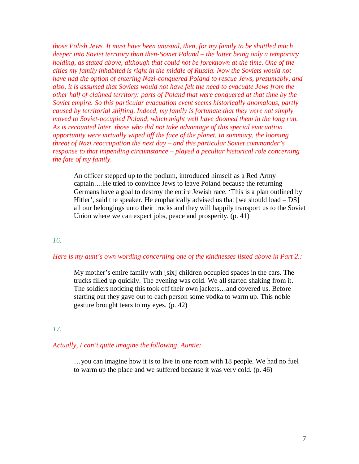*those Polish Jews. It must have been unusual, then, for my family to be shuttled much deeper into Soviet territory than then-Soviet Poland – the latter being only a temporary holding, as stated above, although that could not be foreknown at the time. One of the cities my family inhabited is right in the middle of Russia. Now the Soviets would not have had the option of entering Nazi-conquered Poland to rescue Jews, presumably, and also, it is assumed that Soviets would not have felt the need to evacuate Jews from the other half of claimed territory: parts of Poland that were conquered at that time by the Soviet empire. So this particular evacuation event seems historically anomalous, partly caused by territorial shifting. Indeed, my family is fortunate that they were not simply moved to Soviet-occupied Poland, which might well have doomed them in the long run. As is recounted later, those who did not take advantage of this special evacuation opportunity were virtually wiped off the face of the planet. In summary, the looming threat of Nazi reoccupation the next day – and this particular Soviet commander's response to that impending circumstance – played a peculiar historical role concerning the fate of my family.*

An officer stepped up to the podium, introduced himself as a Red Army captain….He tried to convince Jews to leave Poland because the returning Germans have a goal to destroy the entire Jewish race. 'This is a plan outlined by Hitler', said the speaker. He emphatically advised us that [we should load – DS] all our belongings unto their trucks and they will happily transport us to the Soviet Union where we can expect jobs, peace and prosperity. (p. 41)

#### *16.*

# *Here is my aunt's own wording concerning one of the kindnesses listed above in Part 2.:*

My mother's entire family with [six] children occupied spaces in the cars. The trucks filled up quickly. The evening was cold. We all started shaking from it. The soldiers noticing this took off their own jackets…and covered us. Before starting out they gave out to each person some vodka to warm up. This noble gesture brought tears to my eyes. (p. 42)

#### *17.*

#### *Actually, I can't quite imagine the following, Auntie:*

…you can imagine how it is to live in one room with 18 people. We had no fuel to warm up the place and we suffered because it was very cold. (p. 46)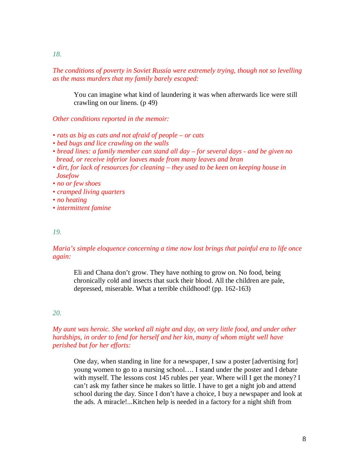*The conditions of poverty in Soviet Russia were extremely trying, though not so levelling as the mass murders that my family barely escaped:*

You can imagine what kind of laundering it was when afterwards lice were still crawling on our linens. (p 49)

*Other conditions reported in the memoir:*

- *rats as big as cats and not afraid of people – or cats*
- *bed bugs and lice crawling on the walls*
- *bread lines: a family member can stand all day – for several days - and be given no bread, or receive inferior loaves made from many leaves and bran*
- *dirt, for lack of resources for cleaning – they used to be keen on keeping house in Josefow*

*• no or few shoes*

- *cramped living quarters*
- *no heating*
- *intermittent famine*

#### *19.*

# *Maria's simple eloquence concerning a time now lost brings that painful era to life once again:*

Eli and Chana don't grow. They have nothing to grow on. No food, being chronically cold and insects that suck their blood. All the children are pale, depressed, miserable. What a terrible childhood! (pp. 162-163)

# *20.*

# *My aunt was heroic. She worked all night and day, on very little food, and under other hardships, in order to fend for herself and her kin, many of whom might well have perished but for her efforts:*

One day, when standing in line for a newspaper, I saw a poster [advertising for] young women to go to a nursing school…. I stand under the poster and I debate with myself. The lessons cost 145 rubles per year. Where will I get the money? I can't ask my father since he makes so little. I have to get a night job and attend school during the day. Since I don't have a choice, I buy a newspaper and look at the ads. A miracle!...Kitchen help is needed in a factory for a night shift from

*18.*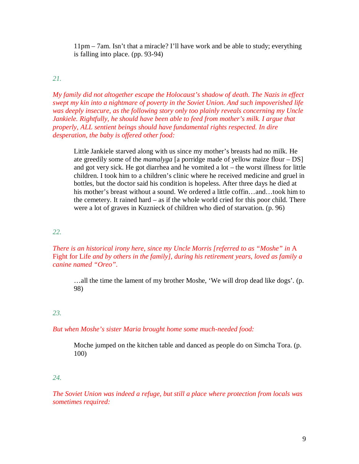11pm – 7am. Isn't that a miracle? I'll have work and be able to study; everything is falling into place. (pp. 93-94)

# *21.*

*My family did not altogether escape the Holocaust's shadow of death. The Nazis in effect swept my kin into a nightmare of poverty in the Soviet Union. And such impoverished life was deeply insecure, as the following story only too plainly reveals concerning my Uncle Jankiele. Rightfully, he should have been able to feed from mother's milk. I argue that properly, ALL sentient beings should have fundamental rights respected. In dire desperation, the baby is offered other food:*

Little Jankiele starved along with us since my mother's breasts had no milk. He ate greedily some of the *mamalyga* [a porridge made of yellow maize flour – DS] and got very sick. He got diarrhea and he vomited a lot – the worst illness for little children. I took him to a children's clinic where he received medicine and gruel in bottles, but the doctor said his condition is hopeless. After three days he died at his mother's breast without a sound. We ordered a little coffin…and…took him to the cemetery. It rained hard – as if the whole world cried for this poor child. There were a lot of graves in Kuznieck of children who died of starvation. (p. 96)

# *22.*

*There is an historical irony here, since my Uncle Morris [referred to as "Moshe" in A* Fight for Life *and by others in the family], during his retirement years, loved as family a canine named "Oreo".*

…all the time the lament of my brother Moshe, 'We will drop dead like dogs'. (p. 98)

# *23.*

# *But when Moshe's sister Maria brought home some much-needed food:*

Moche jumped on the kitchen table and danced as people do on Simcha Tora. (p. 100)

# *24.*

*The Soviet Union was indeed a refuge, but still a place where protection from locals was sometimes required:*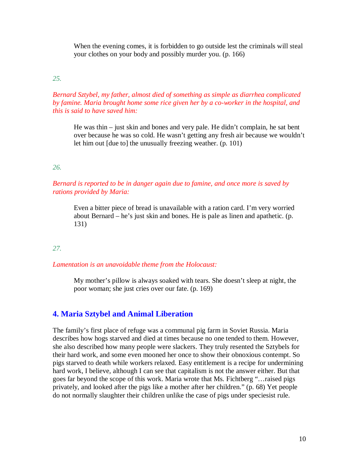When the evening comes, it is forbidden to go outside lest the criminals will steal your clothes on your body and possibly murder you. (p. 166)

# *25.*

# *Bernard Sztybel, my father, almost died of something as simple as diarrhea complicated by famine. Maria brought home some rice given her by a co-worker in the hospital, and this is said to have saved him:*

He was thin – just skin and bones and very pale. He didn't complain, he sat bent over because he was so cold. He wasn't getting any fresh air because we wouldn't let him out [due to] the unusually freezing weather. (p. 101)

# *26.*

# *Bernard is reported to be in danger again due to famine, and once more is saved by rations provided by Maria:*

Even a bitter piece of bread is unavailable with a ration card. I'm very worried about Bernard – he's just skin and bones. He is pale as linen and apathetic. (p. 131)

# *27.*

# *Lamentation is an unavoidable theme from the Holocaust:*

My mother's pillow is always soaked with tears. She doesn't sleep at night, the poor woman; she just cries over our fate. (p. 169)

# **4. Maria Sztybel and Animal Liberation**

The family's first place of refuge was a communal pig farm in Soviet Russia. Maria describes how hogs starved and died at times because no one tended to them. However, she also described how many people were slackers. They truly resented the Sztybels for their hard work, and some even mooned her once to show their obnoxious contempt. So pigs starved to death while workers relaxed. Easy entitlement is a recipe for undermining hard work, I believe, although I can see that capitalism is not the answer either. But that goes far beyond the scope of this work. Maria wrote that Ms. Fichtberg "…raised pigs privately, and looked after the pigs like a mother after her children." (p. 68) Yet people do not normally slaughter their children unlike the case of pigs under speciesist rule.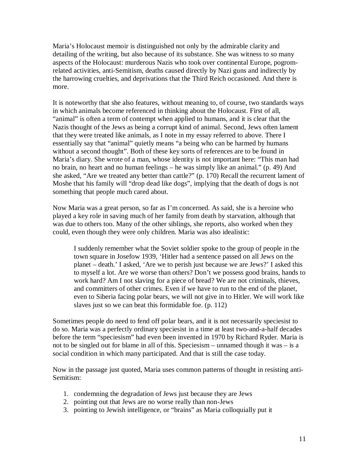Maria's Holocaust memoir is distinguished not only by the admirable clarity and detailing of the writing, but also because of its substance. She was witness to so many aspects of the Holocaust: murderous Nazis who took over continental Europe, pogromrelated activities, anti-Semitism, deaths caused directly by Nazi guns and indirectly by the harrowing cruelties, and deprivations that the Third Reich occasioned. And there is more.

It is noteworthy that she also features, without meaning to, of course, two standards ways in which animals become referenced in thinking about the Holocaust. First of all, "animal" is often a term of contempt when applied to humans, and it is clear that the Nazis thought of the Jews as being a corrupt kind of animal. Second, Jews often lament that they were treated like animals, as I note in my essay referred to above. There I essentially say that "animal" quietly means "a being who can be harmed by humans without a second thought". Both of these key sorts of references are to be found in Maria's diary. She wrote of a man, whose identity is not important here: "This man had no brain, no heart and no human feelings – he was simply like an animal." (p. 49) And she asked, "Are we treated any better than cattle?" (p. 170) Recall the recurrent lament of Moshe that his family will "drop dead like dogs", implying that the death of dogs is not something that people much cared about.

Now Maria was a great person, so far as I'm concerned. As said, she is a heroine who played a key role in saving much of her family from death by starvation, although that was due to others too. Many of the other siblings, she reports, also worked when they could, even though they were only children. Maria was also idealistic:

I suddenly remember what the Soviet soldier spoke to the group of people in the town square in Josefow 1939, 'Hitler had a sentence passed on all Jews on the planet – death.' I asked, 'Are we to perish just because we are Jews?' I asked this to myself a lot. Are we worse than others? Don't we possess good brains, hands to work hard? Am I not slaving for a piece of bread? We are not criminals, thieves, and committers of other crimes. Even if we have to run to the end of the planet, even to Siberia facing polar bears, we will not give in to Hitler. We will work like slaves just so we can beat this formidable foe. (p. 112)

Sometimes people do need to fend off polar bears, and it is not necessarily speciesist to do so. Maria was a perfectly ordinary speciesist in a time at least two-and-a-half decades before the term "speciesism" had even been invented in 1970 by Richard Ryder. Maria is not to be singled out for blame in all of this. Speciesism – unnamed though it was – is a social condition in which many participated. And that is still the case today.

Now in the passage just quoted, Maria uses common patterns of thought in resisting anti-Semitism:

- 1. condemning the degradation of Jews just because they are Jews
- 2. pointing out that Jews are no worse really than non-Jews
- 3. pointing to Jewish intelligence, or "brains" as Maria colloquially put it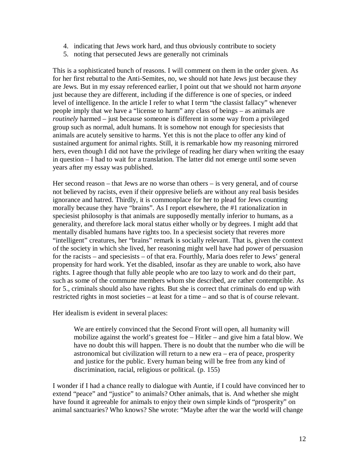- 4. indicating that Jews work hard, and thus obviously contribute to society
- 5. noting that persecuted Jews are generally not criminals

This is a sophisticated bunch of reasons. I will comment on them in the order given. As for her first rebuttal to the Anti-Semites, no, we should not hate Jews just because they are Jews. But in my essay referenced earlier, I point out that we should not harm *anyone* just because they are different, including if the difference is one of species, or indeed level of intelligence. In the article I refer to what I term "the classist fallacy" whenever people imply that we have a "license to harm" any class of beings – as animals are *routinely* harmed – just because someone is different in some way from a privileged group such as normal, adult humans. It is somehow not enough for speciesists that animals are acutely sensitive to harms. Yet this is not the place to offer any kind of sustained argument for animal rights. Still, it is remarkable how my reasoning mirrored hers, even though I did not have the privilege of reading her diary when writing the esaay in question – I had to wait for a translation. The latter did not emerge until some seven years after my essay was published.

Her second reason – that Jews are no worse than others – is very general, and of course not believed by racists, even if their oppresive beliefs are without any real basis besides ignorance and hatred. Thirdly, it is commonplace for her to plead for Jews counting morally because they have "brains". As I report elsewhere, the #1 rationalization in speciesist philosophy is that animals are supposedly mentally inferior to humans, as a generality, and therefore lack moral status either wholly or by degrees. I might add that mentally disabled humans have rights too. In a speciesist society that reveres more "intelligent" creatures, her "brains" remark is socially relevant. That is, given the context of the society in which she lived, her reasoning might well have had power of persuasion for the racists – and speciesists – of that era. Fourthly, Maria does refer to Jews' general propensity for hard work. Yet the disabled, insofar as they are unable to work, also have rights. I agree though that fully able people who are too lazy to work and do their part, such as some of the commune members whom she described, are rather contemptible. As for 5., criminals should also have rights. But she is correct that criminals do end up with restricted rights in most societies – at least for a time – and so that is of course relevant.

Her idealism is evident in several places:

We are entirely convinced that the Second Front will open, all humanity will mobilize against the world's greatest foe – Hitler – and give him a fatal blow. We have no doubt this will happen. There is no doubt that the number who die will be astronomical but civilization will return to a new era – era of peace, prosperity and justice for the public. Every human being will be free from any kind of discrimination, racial, religious or political. (p. 155)

I wonder if I had a chance really to dialogue with Auntie, if I could have convinced her to extend "peace" and "justice" to animals? Other animals, that is. And whether she might have found it agreeable for animals to enjoy their own simple kinds of "prosperity" on animal sanctuaries? Who knows? She wrote: "Maybe after the war the world will change